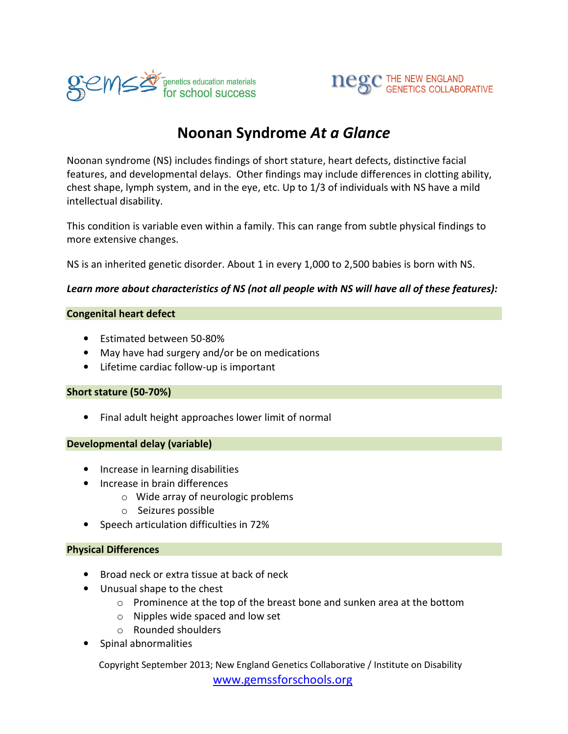



# Noonan Syndrome At a Glance

Noonan syndrome (NS) includes findings of short stature, heart defects, distinctive facial features, and developmental delays. Other findings may include differences in clotting ability, chest shape, lymph system, and in the eye, etc. Up to 1/3 of individuals with NS have a mild intellectual disability.

This condition is variable even within a family. This can range from subtle physical findings to more extensive changes.

NS is an inherited genetic disorder. About 1 in every 1,000 to 2,500 babies is born with NS.

#### Learn more about characteristics of NS (not all people with NS will have all of these features):

#### Congenital heart defect

- Estimated between 50-80%
- May have had surgery and/or be on medications
- Lifetime cardiac follow-up is important

#### Short stature (50-70%)

• Final adult height approaches lower limit of normal

#### Developmental delay (variable)

- Increase in learning disabilities
- Increase in brain differences
	- o Wide array of neurologic problems
	- o Seizures possible
- Speech articulation difficulties in 72%

#### Physical Differences

- Broad neck or extra tissue at back of neck
- Unusual shape to the chest
	- $\circ$  Prominence at the top of the breast bone and sunken area at the bottom
	- o Nipples wide spaced and low set
	- o Rounded shoulders
- Spinal abnormalities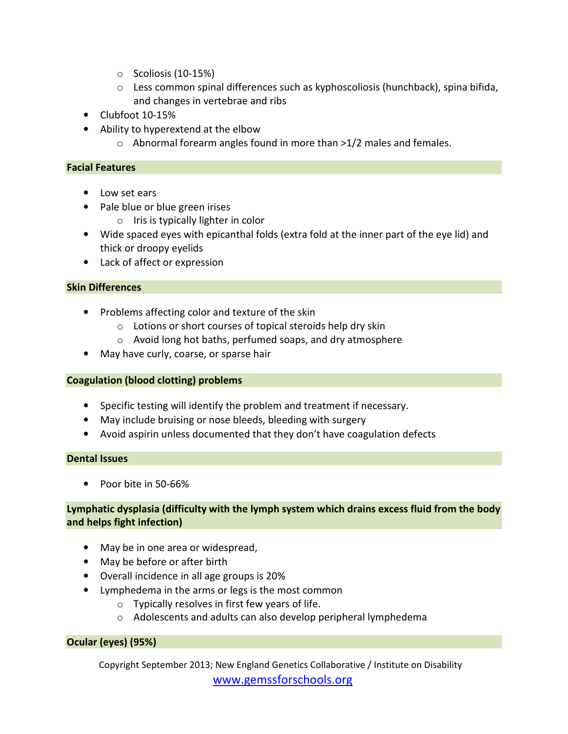- o Scoliosis (10-15%)
- o Less common spinal differences such as kyphoscoliosis (hunchback), spina bifida, and changes in vertebrae and ribs
- Clubfoot 10-15%
- Ability to hyperextend at the elbow
	- o Abnormal forearm angles found in more than >1/2 males and females.

### Facial Features

- Low set ears
- Pale blue or blue green irises
	- o Iris is typically lighter in color
- Wide spaced eyes with epicanthal folds (extra fold at the inner part of the eye lid) and thick or droopy eyelids
- Lack of affect or expression

### Skin Differences

- Problems affecting color and texture of the skin
	- o Lotions or short courses of topical steroids help dry skin
	- o Avoid long hot baths, perfumed soaps, and dry atmosphere
- May have curly, coarse, or sparse hair

### Coagulation (blood clotting) problems

- Specific testing will identify the problem and treatment if necessary.
- May include bruising or nose bleeds, bleeding with surgery
- Avoid aspirin unless documented that they don't have coagulation defects

#### Dental Issues

• Poor bite in 50-66%

### Lymphatic dysplasia (difficulty with the lymph system which drains excess fluid from the body and helps fight infection)

- May be in one area or widespread,
- May be before or after birth
- Overall incidence in all age groups is 20%
- Lymphedema in the arms or legs is the most common
	- $\circ$  Typically resolves in first few years of life.
	- o Adolescents and adults can also develop peripheral lymphedema

### Ocular (eyes) (95%)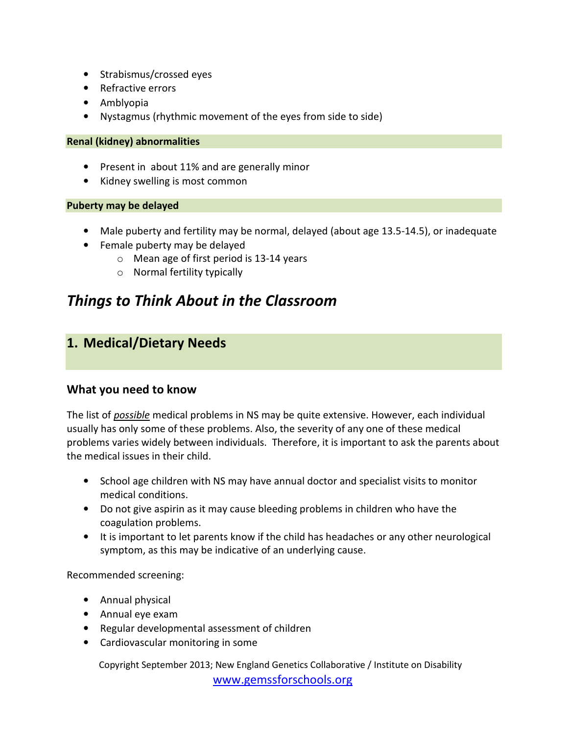- Strabismus/crossed eyes
- Refractive errors
- Amblyopia
- Nystagmus (rhythmic movement of the eyes from side to side)

### Renal (kidney) abnormalities

- Present in about 11% and are generally minor
- Kidney swelling is most common

### Puberty may be delayed

- Male puberty and fertility may be normal, delayed (about age 13.5-14.5), or inadequate
- Female puberty may be delayed
	- o Mean age of first period is 13-14 years
	- o Normal fertility typically

# Things to Think About in the Classroom

## 1. Medical/Dietary Needs

## What you need to know

The list of possible medical problems in NS may be quite extensive. However, each individual usually has only some of these problems. Also, the severity of any one of these medical problems varies widely between individuals. Therefore, it is important to ask the parents about the medical issues in their child.

- School age children with NS may have annual doctor and specialist visits to monitor medical conditions.
- Do not give aspirin as it may cause bleeding problems in children who have the coagulation problems.
- It is important to let parents know if the child has headaches or any other neurological symptom, as this may be indicative of an underlying cause.

Recommended screening:

- Annual physical
- Annual eye exam
- Regular developmental assessment of children
- Cardiovascular monitoring in some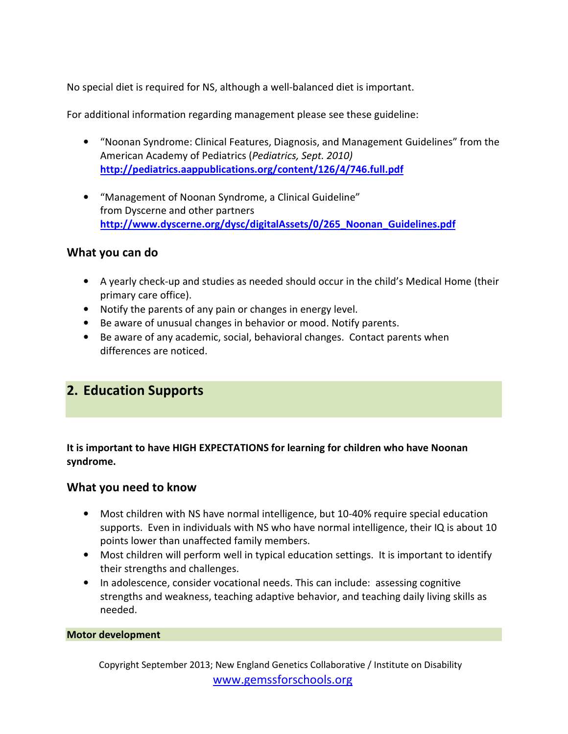No special diet is required for NS, although a well-balanced diet is important.

For additional information regarding management please see these guideline:

- "Noonan Syndrome: Clinical Features, Diagnosis, and Management Guidelines" from the American Academy of Pediatrics (Pediatrics, Sept. 2010) http://pediatrics.aappublications.org/content/126/4/746.full.pdf
- "Management of Noonan Syndrome, a Clinical Guideline" from Dyscerne and other partners http://www.dyscerne.org/dysc/digitalAssets/0/265\_Noonan\_Guidelines.pdf

## What you can do

- A yearly check-up and studies as needed should occur in the child's Medical Home (their primary care office).
- Notify the parents of any pain or changes in energy level.
- Be aware of unusual changes in behavior or mood. Notify parents.
- Be aware of any academic, social, behavioral changes. Contact parents when differences are noticed.

## 2. Education Supports

It is important to have HIGH EXPECTATIONS for learning for children who have Noonan syndrome.

### What you need to know

- Most children with NS have normal intelligence, but 10-40% require special education supports. Even in individuals with NS who have normal intelligence, their IQ is about 10 points lower than unaffected family members.
- Most children will perform well in typical education settings. It is important to identify their strengths and challenges.
- In adolescence, consider vocational needs. This can include: assessing cognitive strengths and weakness, teaching adaptive behavior, and teaching daily living skills as needed.

#### Motor development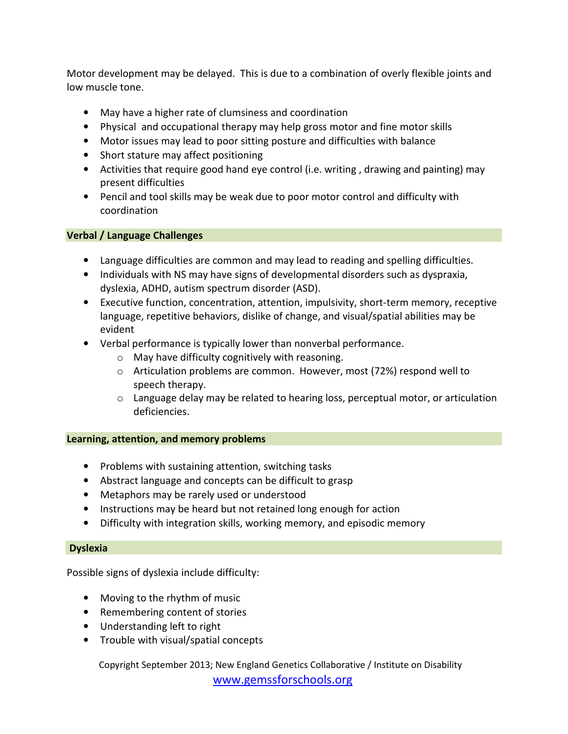Motor development may be delayed. This is due to a combination of overly flexible joints and low muscle tone.

- May have a higher rate of clumsiness and coordination
- Physical and occupational therapy may help gross motor and fine motor skills
- Motor issues may lead to poor sitting posture and difficulties with balance
- Short stature may affect positioning
- Activities that require good hand eye control (i.e. writing , drawing and painting) may present difficulties
- Pencil and tool skills may be weak due to poor motor control and difficulty with coordination

### Verbal / Language Challenges

- Language difficulties are common and may lead to reading and spelling difficulties.
- Individuals with NS may have signs of developmental disorders such as dyspraxia, dyslexia, ADHD, autism spectrum disorder (ASD).
- Executive function, concentration, attention, impulsivity, short-term memory, receptive language, repetitive behaviors, dislike of change, and visual/spatial abilities may be evident
- Verbal performance is typically lower than nonverbal performance.
	- o May have difficulty cognitively with reasoning.
	- o Articulation problems are common. However, most (72%) respond well to speech therapy.
	- $\circ$  Language delay may be related to hearing loss, perceptual motor, or articulation deficiencies.

#### Learning, attention, and memory problems

- Problems with sustaining attention, switching tasks
- Abstract language and concepts can be difficult to grasp
- Metaphors may be rarely used or understood
- Instructions may be heard but not retained long enough for action
- Difficulty with integration skills, working memory, and episodic memory

#### Dyslexia

Possible signs of dyslexia include difficulty:

- Moving to the rhythm of music
- Remembering content of stories
- Understanding left to right
- Trouble with visual/spatial concepts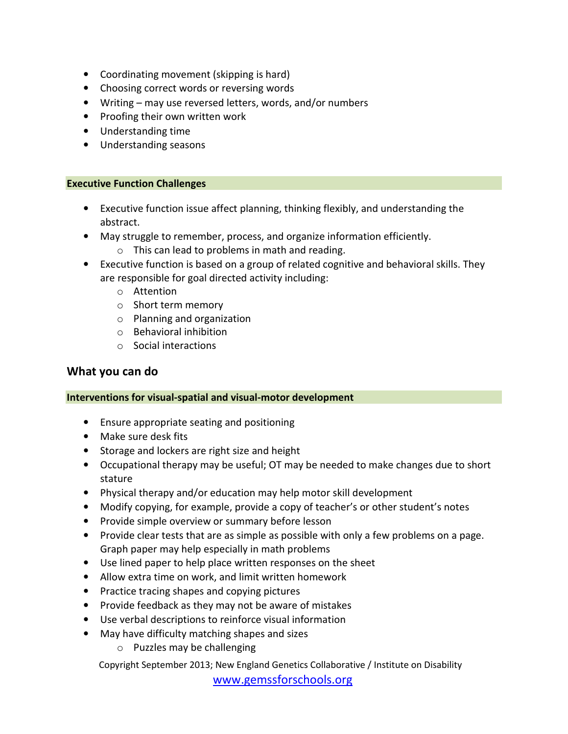- Coordinating movement (skipping is hard)
- Choosing correct words or reversing words
- Writing may use reversed letters, words, and/or numbers
- Proofing their own written work
- Understanding time
- Understanding seasons

#### Executive Function Challenges

- Executive function issue affect planning, thinking flexibly, and understanding the abstract.
- May struggle to remember, process, and organize information efficiently.
	- o This can lead to problems in math and reading.
- Executive function is based on a group of related cognitive and behavioral skills. They are responsible for goal directed activity including:
	- o Attention
	- o Short term memory
	- o Planning and organization
	- o Behavioral inhibition
	- o Social interactions

## What you can do

#### Interventions for visual-spatial and visual-motor development

- Ensure appropriate seating and positioning
- Make sure desk fits
- Storage and lockers are right size and height
- Occupational therapy may be useful; OT may be needed to make changes due to short stature
- Physical therapy and/or education may help motor skill development
- Modify copying, for example, provide a copy of teacher's or other student's notes
- Provide simple overview or summary before lesson
- Provide clear tests that are as simple as possible with only a few problems on a page. Graph paper may help especially in math problems
- Use lined paper to help place written responses on the sheet
- Allow extra time on work, and limit written homework
- Practice tracing shapes and copying pictures
- Provide feedback as they may not be aware of mistakes
- Use verbal descriptions to reinforce visual information
- May have difficulty matching shapes and sizes
	- o Puzzles may be challenging

Copyright September 2013; New England Genetics Collaborative / Institute on Disability

www.gemssforschools.org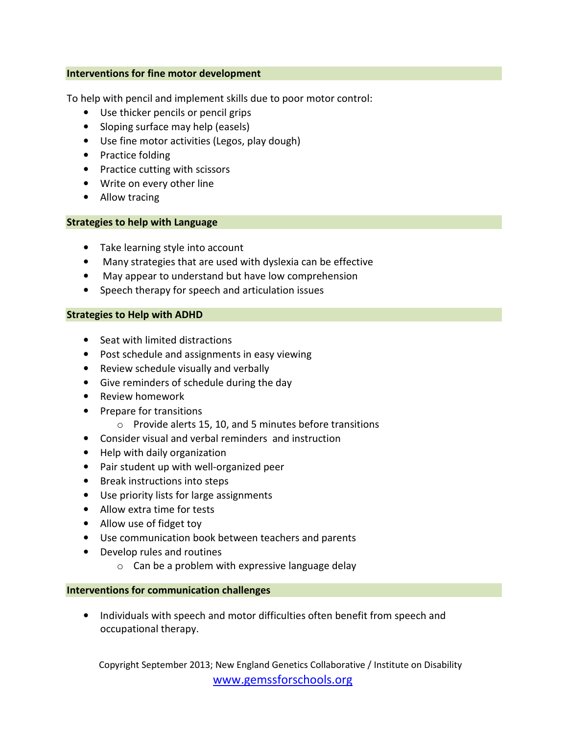#### Interventions for fine motor development

To help with pencil and implement skills due to poor motor control:

- Use thicker pencils or pencil grips
- Sloping surface may help (easels)
- Use fine motor activities (Legos, play dough)
- Practice folding
- Practice cutting with scissors
- Write on every other line
- Allow tracing

#### Strategies to help with Language

- Take learning style into account
- Many strategies that are used with dyslexia can be effective
- May appear to understand but have low comprehension
- Speech therapy for speech and articulation issues

#### Strategies to Help with ADHD

- Seat with limited distractions
- Post schedule and assignments in easy viewing
- Review schedule visually and verbally
- Give reminders of schedule during the day
- Review homework
- Prepare for transitions
	- o Provide alerts 15, 10, and 5 minutes before transitions
- Consider visual and verbal reminders and instruction
- Help with daily organization
- Pair student up with well-organized peer
- Break instructions into steps
- Use priority lists for large assignments
- Allow extra time for tests
- Allow use of fidget toy
- Use communication book between teachers and parents
- Develop rules and routines
	- o Can be a problem with expressive language delay

#### Interventions for communication challenges

• Individuals with speech and motor difficulties often benefit from speech and occupational therapy.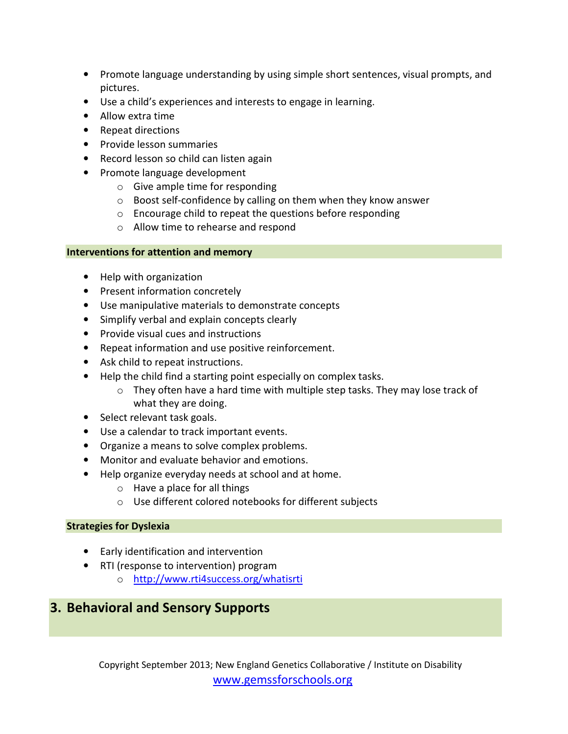- Promote language understanding by using simple short sentences, visual prompts, and pictures.
- Use a child's experiences and interests to engage in learning.
- Allow extra time
- Repeat directions
- Provide lesson summaries
- Record lesson so child can listen again
- Promote language development
	- $\circ$  Give ample time for responding
	- o Boost self-confidence by calling on them when they know answer
	- o Encourage child to repeat the questions before responding
	- o Allow time to rehearse and respond

### Interventions for attention and memory

- Help with organization
- Present information concretely
- Use manipulative materials to demonstrate concepts
- Simplify verbal and explain concepts clearly
- Provide visual cues and instructions
- Repeat information and use positive reinforcement.
- Ask child to repeat instructions.
- Help the child find a starting point especially on complex tasks.
	- o They often have a hard time with multiple step tasks. They may lose track of what they are doing.
- Select relevant task goals.
- Use a calendar to track important events.
- Organize a means to solve complex problems.
- Monitor and evaluate behavior and emotions.
- Help organize everyday needs at school and at home.
	- o Have a place for all things
	- o Use different colored notebooks for different subjects

### Strategies for Dyslexia

- Early identification and intervention
- RTI (response to intervention) program
	- o http://www.rti4success.org/whatisrti

## 3. Behavioral and Sensory Supports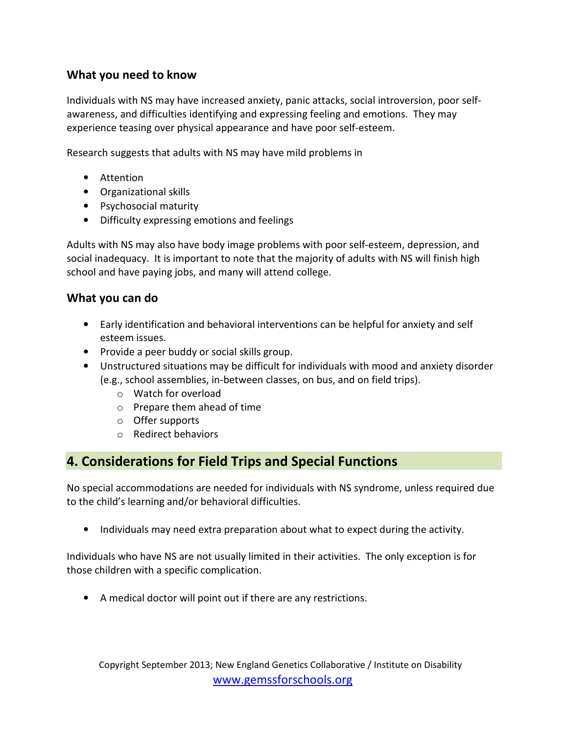## What you need to know

Individuals with NS may have increased anxiety, panic attacks, social introversion, poor selfawareness, and difficulties identifying and expressing feeling and emotions. They may experience teasing over physical appearance and have poor self-esteem.

Research suggests that adults with NS may have mild problems in

- Attention
- Organizational skills
- Psychosocial maturity
- Difficulty expressing emotions and feelings

Adults with NS may also have body image problems with poor self-esteem, depression, and social inadequacy. It is important to note that the majority of adults with NS will finish high school and have paying jobs, and many will attend college.

## What you can do

- Early identification and behavioral interventions can be helpful for anxiety and self esteem issues.
- Provide a peer buddy or social skills group.
- Unstructured situations may be difficult for individuals with mood and anxiety disorder (e.g., school assemblies, in-between classes, on bus, and on field trips).
	- o Watch for overload
	- o Prepare them ahead of time
	- o Offer supports
	- o Redirect behaviors

## 4. Considerations for Field Trips and Special Functions

No special accommodations are needed for individuals with NS syndrome, unless required due to the child's learning and/or behavioral difficulties.

• Individuals may need extra preparation about what to expect during the activity.

Individuals who have NS are not usually limited in their activities. The only exception is for those children with a specific complication.

• A medical doctor will point out if there are any restrictions.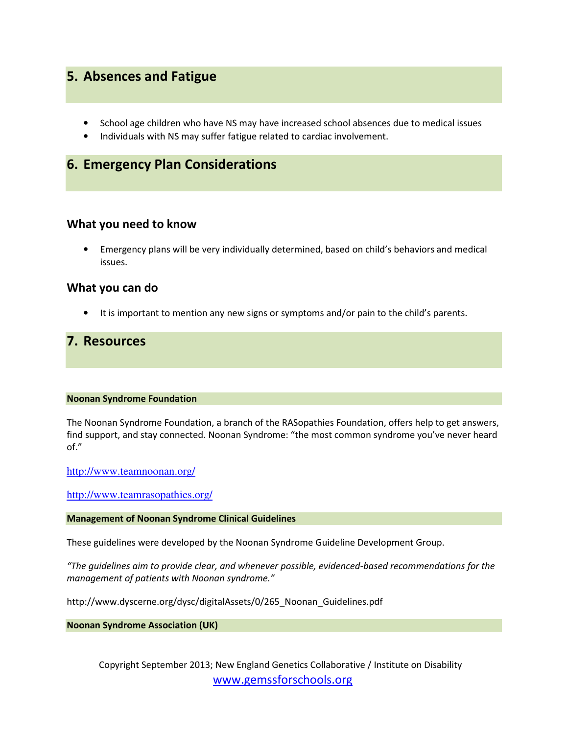## 5. Absences and Fatigue

- School age children who have NS may have increased school absences due to medical issues
- Individuals with NS may suffer fatigue related to cardiac involvement.

## 6. Emergency Plan Considerations

### What you need to know

• Emergency plans will be very individually determined, based on child's behaviors and medical issues.

#### What you can do

• It is important to mention any new signs or symptoms and/or pain to the child's parents.

## 7. Resources

#### Noonan Syndrome Foundation

The Noonan Syndrome Foundation, a branch of the RASopathies Foundation, offers help to get answers, find support, and stay connected. Noonan Syndrome: "the most common syndrome you've never heard of."

http://www.teamnoonan.org/

http://www.teamrasopathies.org/

#### Management of Noonan Syndrome Clinical Guidelines

These guidelines were developed by the Noonan Syndrome Guideline Development Group.

"The guidelines aim to provide clear, and whenever possible, evidenced-based recommendations for the management of patients with Noonan syndrome."

http://www.dyscerne.org/dysc/digitalAssets/0/265\_Noonan\_Guidelines.pdf

Noonan Syndrome Association (UK)